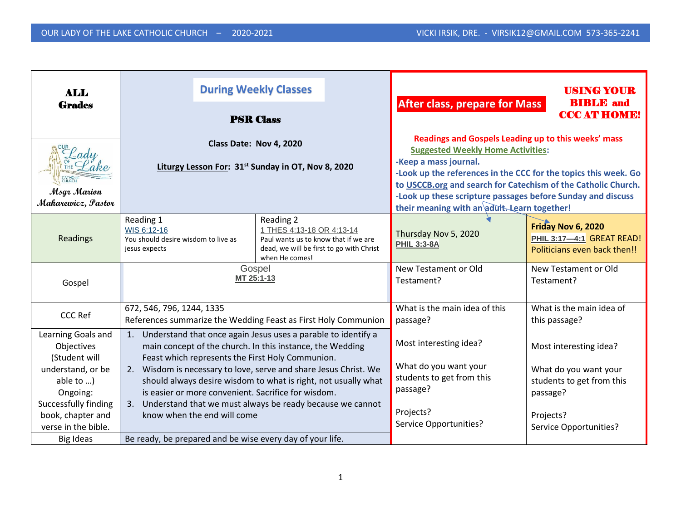| <b>ALL</b><br><b>Grades</b>                                            |                                                                                                                                                                                                                                                             | <b>During Weekly Classes</b><br><b>PSR Class</b>                                                                                             | <b>After class, prepare for Mass</b>                                                                                                                                                                                                                                                                                                                                        | <b>USING YOUR</b><br><b>BIBLE</b> and<br><b>CCC AT HOME!</b>                           |
|------------------------------------------------------------------------|-------------------------------------------------------------------------------------------------------------------------------------------------------------------------------------------------------------------------------------------------------------|----------------------------------------------------------------------------------------------------------------------------------------------|-----------------------------------------------------------------------------------------------------------------------------------------------------------------------------------------------------------------------------------------------------------------------------------------------------------------------------------------------------------------------------|----------------------------------------------------------------------------------------|
| Msgr Marion<br>Makarewicz, Pastor                                      | Class Date: Nov 4, 2020<br>Liturgy Lesson For: 31 <sup>st</sup> Sunday in OT, Nov 8, 2020                                                                                                                                                                   |                                                                                                                                              | Readings and Gospels Leading up to this weeks' mass<br><b>Suggested Weekly Home Activities:</b><br>-Keep a mass journal.<br>-Look up the references in the CCC for the topics this week. Go<br>to USCCB.org and search for Catechism of the Catholic Church.<br>-Look up these scripture passages before Sunday and discuss<br>their meaning with an adult. Learn together! |                                                                                        |
| Readings                                                               | Reading 1<br>WIS 6:12-16<br>You should desire wisdom to live as<br>jesus expects                                                                                                                                                                            | Reading 2<br>1 THES 4:13-18 OR 4:13-14<br>Paul wants us to know that if we are<br>dead, we will be first to go with Christ<br>when He comes! | Thursday Nov 5, 2020<br><b>PHIL 3:3-8A</b>                                                                                                                                                                                                                                                                                                                                  | Friday Nov 6, 2020<br><b>PHIL 3:17-4:1 GREAT READ!</b><br>Politicians even back then!! |
| Gospel                                                                 | Gospel<br>MT 25:1-13                                                                                                                                                                                                                                        |                                                                                                                                              | New Testament or Old<br>Testament?                                                                                                                                                                                                                                                                                                                                          | New Testament or Old<br>Testament?                                                     |
| <b>CCC Ref</b>                                                         | 672, 546, 796, 1244, 1335<br>References summarize the Wedding Feast as First Holy Communion                                                                                                                                                                 |                                                                                                                                              | What is the main idea of this<br>passage?                                                                                                                                                                                                                                                                                                                                   | What is the main idea of<br>this passage?                                              |
| Learning Goals and<br>Objectives<br>(Student will<br>understand, or be | Understand that once again Jesus uses a parable to identify a<br>1.<br>main concept of the church. In this instance, the Wedding<br>Feast which represents the First Holy Communion.<br>Wisdom is necessary to love, serve and share Jesus Christ. We<br>2. |                                                                                                                                              | Most interesting idea?<br>What do you want your                                                                                                                                                                                                                                                                                                                             | Most interesting idea?<br>What do you want your                                        |
| able to )<br>Ongoing:<br>Successfully finding                          | should always desire wisdom to what is right, not usually what<br>is easier or more convenient. Sacrifice for wisdom.<br>3. Understand that we must always be ready because we cannot                                                                       |                                                                                                                                              | students to get from this<br>passage?                                                                                                                                                                                                                                                                                                                                       | students to get from this<br>passage?                                                  |
| book, chapter and<br>verse in the bible.                               | know when the end will come                                                                                                                                                                                                                                 |                                                                                                                                              | Projects?<br>Service Opportunities?                                                                                                                                                                                                                                                                                                                                         | Projects?<br>Service Opportunities?                                                    |
| <b>Big Ideas</b>                                                       | Be ready, be prepared and be wise every day of your life.                                                                                                                                                                                                   |                                                                                                                                              |                                                                                                                                                                                                                                                                                                                                                                             |                                                                                        |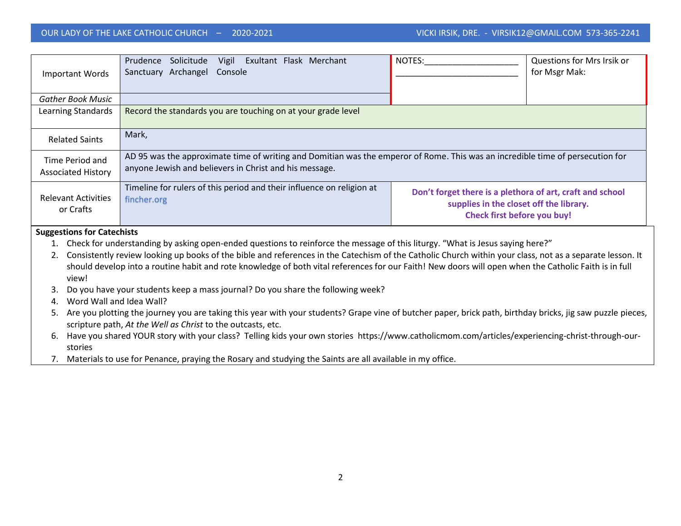| <b>Important Words</b>                                                                                                | Prudence Solicitude<br>Exultant Flask Merchant<br>Vigil<br>Sanctuary Archangel<br>Console                                                                                                                                                                                                                                                                                                                                                                                                                                                                                                                                                                                                                                                                                                                                                                                                                                                                                                                                            | NOTES:                                                                                                                              | Questions for Mrs Irsik or<br>for Msgr Mak: |  |  |
|-----------------------------------------------------------------------------------------------------------------------|--------------------------------------------------------------------------------------------------------------------------------------------------------------------------------------------------------------------------------------------------------------------------------------------------------------------------------------------------------------------------------------------------------------------------------------------------------------------------------------------------------------------------------------------------------------------------------------------------------------------------------------------------------------------------------------------------------------------------------------------------------------------------------------------------------------------------------------------------------------------------------------------------------------------------------------------------------------------------------------------------------------------------------------|-------------------------------------------------------------------------------------------------------------------------------------|---------------------------------------------|--|--|
| <b>Gather Book Music</b>                                                                                              |                                                                                                                                                                                                                                                                                                                                                                                                                                                                                                                                                                                                                                                                                                                                                                                                                                                                                                                                                                                                                                      |                                                                                                                                     |                                             |  |  |
| Learning Standards                                                                                                    | Record the standards you are touching on at your grade level                                                                                                                                                                                                                                                                                                                                                                                                                                                                                                                                                                                                                                                                                                                                                                                                                                                                                                                                                                         |                                                                                                                                     |                                             |  |  |
| <b>Related Saints</b>                                                                                                 | Mark,                                                                                                                                                                                                                                                                                                                                                                                                                                                                                                                                                                                                                                                                                                                                                                                                                                                                                                                                                                                                                                |                                                                                                                                     |                                             |  |  |
| Time Period and<br><b>Associated History</b>                                                                          | AD 95 was the approximate time of writing and Domitian was the emperor of Rome. This was an incredible time of persecution for<br>anyone Jewish and believers in Christ and his message.                                                                                                                                                                                                                                                                                                                                                                                                                                                                                                                                                                                                                                                                                                                                                                                                                                             |                                                                                                                                     |                                             |  |  |
| <b>Relevant Activities</b><br>or Crafts                                                                               | Timeline for rulers of this period and their influence on religion at<br>fincher.org                                                                                                                                                                                                                                                                                                                                                                                                                                                                                                                                                                                                                                                                                                                                                                                                                                                                                                                                                 | Don't forget there is a plethora of art, craft and school<br>supplies in the closet off the library.<br>Check first before you buy! |                                             |  |  |
| <b>Suggestions for Catechists</b><br>2.<br>view!<br>3.<br>Word Wall and Idea Wall?<br>4.<br>5.<br>6.<br>stories<br>7. | 1. Check for understanding by asking open-ended questions to reinforce the message of this liturgy. "What is Jesus saying here?"<br>Consistently review looking up books of the bible and references in the Catechism of the Catholic Church within your class, not as a separate lesson. It<br>should develop into a routine habit and rote knowledge of both vital references for our Faith! New doors will open when the Catholic Faith is in full<br>Do you have your students keep a mass journal? Do you share the following week?<br>Are you plotting the journey you are taking this year with your students? Grape vine of butcher paper, brick path, birthday bricks, jig saw puzzle pieces,<br>scripture path, At the Well as Christ to the outcasts, etc.<br>Have you shared YOUR story with your class? Telling kids your own stories https://www.catholicmom.com/articles/experiencing-christ-through-our-<br>Materials to use for Penance, praying the Rosary and studying the Saints are all available in my office. |                                                                                                                                     |                                             |  |  |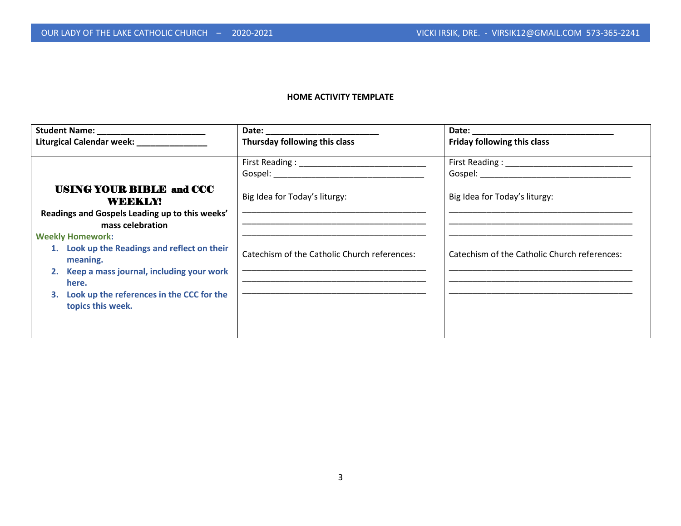## **HOME ACTIVITY TEMPLATE**

| Student Name: ________________________<br>Liturgical Calendar week: _________________         | Date: ___________________________<br>Thursday following this class | Friday following this class                  |
|-----------------------------------------------------------------------------------------------|--------------------------------------------------------------------|----------------------------------------------|
|                                                                                               |                                                                    |                                              |
| <b>USING YOUR BIBLE and CCC</b><br><b>WEEKLY!</b>                                             | Big Idea for Today's liturgy:                                      | Big Idea for Today's liturgy:                |
| Readings and Gospels Leading up to this weeks'<br>mass celebration<br><b>Weekly Homework:</b> |                                                                    |                                              |
| 1. Look up the Readings and reflect on their<br>meaning.                                      | Catechism of the Catholic Church references:                       | Catechism of the Catholic Church references: |
| 2. Keep a mass journal, including your work<br>here.                                          |                                                                    |                                              |
| 3. Look up the references in the CCC for the<br>topics this week.                             |                                                                    |                                              |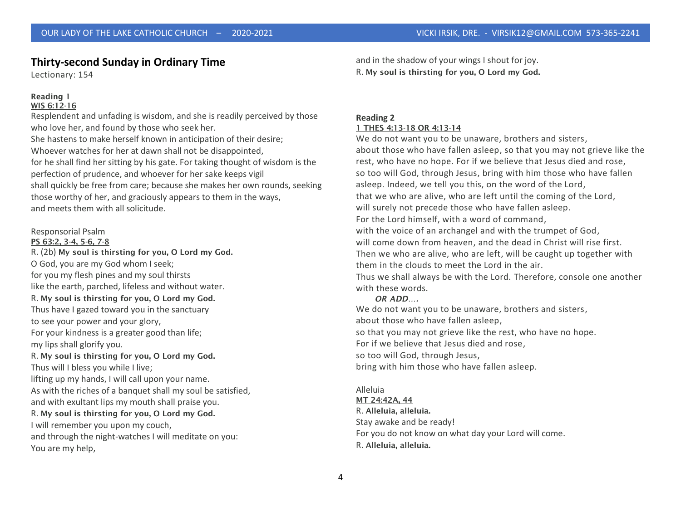# **Thirty-second Sunday in Ordinary Time**

Lectionary: 154

#### Reading 1 WIS [6:12-16](https://bible.usccb.org/bible/wisdom/6?12)

Resplendent and unfading is wisdom, and she is readily perceived by those who love her, and found by those who seek her.

She hastens to make herself known in anticipation of their desire; Whoever watches for her at dawn shall not be disappointed, for he shall find her sitting by his gate. For taking thought of wisdom is the perfection of prudence, and whoever for her sake keeps vigil shall quickly be free from care; because she makes her own rounds, seeking those worthy of her, and graciously appears to them in the ways, and meets them with all solicitude.

#### Responsorial Psalm

PS [63:2,](https://bible.usccb.org/bible/psalms/63?2) 3-4, 5-6, 7-8

R. (2b) My soul is thirsting for you, O Lord my God. O God, you are my God whom I seek; for you my flesh pines and my soul thirsts like the earth, parched, lifeless and without water. R. My soul is thirsting for you, O Lord my God. Thus have I gazed toward you in the sanctuary to see your power and your glory, For your kindness is a greater good than life; my lips shall glorify you. R. My soul is thirsting for you, O Lord my God. Thus will I bless you while I live; lifting up my hands, I will call upon your name. As with the riches of a banquet shall my soul be satisfied, and with exultant lips my mouth shall praise you. R. My soul is thirsting for you, O Lord my God. I will remember you upon my couch, and through the night-watches I will meditate on you: You are my help,

and in the shadow of your wings I shout for joy. R. My soul is thirsting for you, O Lord my God.

#### **Reading 2**

### 1 THES [4:13-18](https://bible.usccb.org/bible/1thessalonians/4?13) OR 4:13-14

We do not want you to be unaware, brothers and sisters, about those who have fallen asleep, so that you may not grieve like the rest, who have no hope. For if we believe that Jesus died and rose, so too will God, through Jesus, bring with him those who have fallen asleep. Indeed, we tell you this, on the word of the Lord, that we who are alive, who are left until the coming of the Lord, will surely not precede those who have fallen asleep. For the Lord himself, with a word of command, with the voice of an archangel and with the trumpet of God, will come down from heaven, and the dead in Christ will rise first. Then we who are alive, who are left, will be caught up together with them in the clouds to meet the Lord in the air. Thus we shall always be with the Lord. Therefore, console one another with these words.

## *OR ADD….*

We do not want you to be unaware, brothers and sisters, about those who have fallen asleep, so that you may not grieve like the rest, who have no hope. For if we believe that Jesus died and rose, so too will God, through Jesus, bring with him those who have fallen asleep.

## Alleluia

MT [24:42A,](https://bible.usccb.org/bible/matthew/24?42) 44

R. Alleluia, alleluia. Stay awake and be ready! For you do not know on what day your Lord will come. R. Alleluia, alleluia.